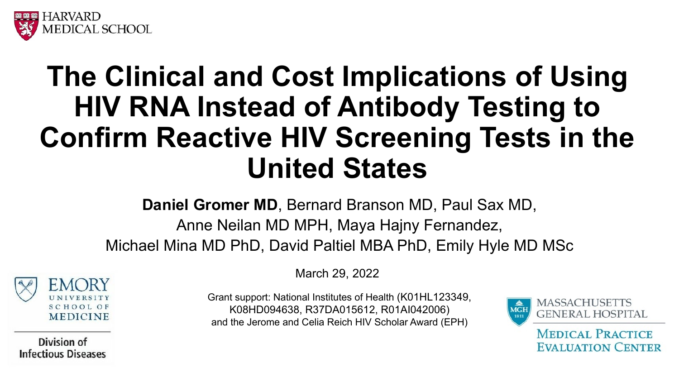

## **The Clinical and Cost Implications of Using HIV RNA Instead of Antibody Testing to Confirm Reactive HIV Screening Tests in the United States**

**Daniel Gromer MD**, Bernard Branson MD, Paul Sax MD,

Anne Neilan MD MPH, Maya Hajny Fernandez, Michael Mina MD PhD, David Paltiel MBA PhD, Emily Hyle MD MSc



Division of **Infectious Diseases**  March 29, 2022

Grant support: National Institutes of Health (K01HL123349, K08HD094638, R37DA015612, R01AI042006) and the Jerome and Celia Reich HIV Scholar Award (EPH)



**MEDICAL PRACTICE EVALUATION CENTER**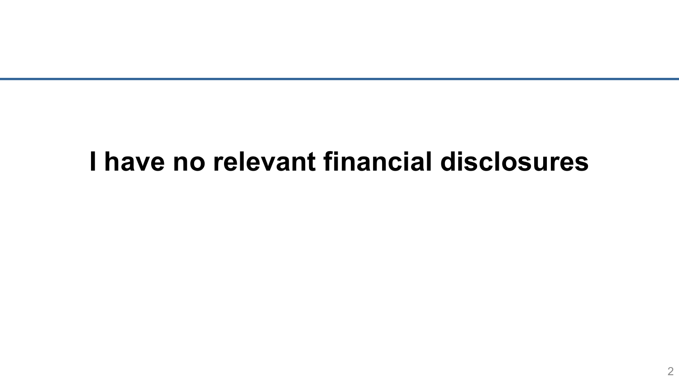### **I have no relevant financial disclosures**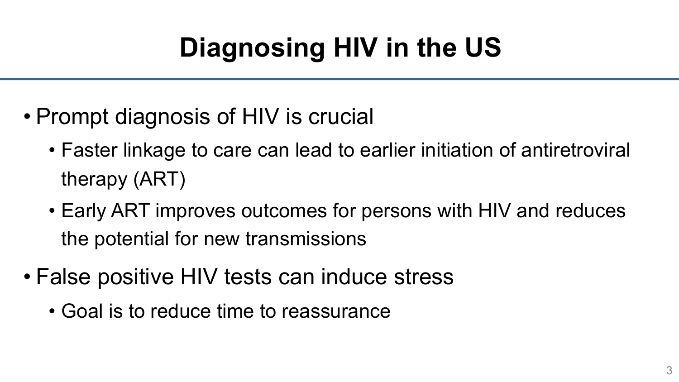# **Diagnosing HIV in the US**

- Prompt diagnosis of HIV is crucial
	- Faster linkage to care can lead to earlier initiation of antiretroviral therapy (ART)
	- Early ART improves outcomes for persons with HIV and reduces the potential for new transmissions
- False positive HIV tests can induce stress
	- Goal is to reduce time to reassurance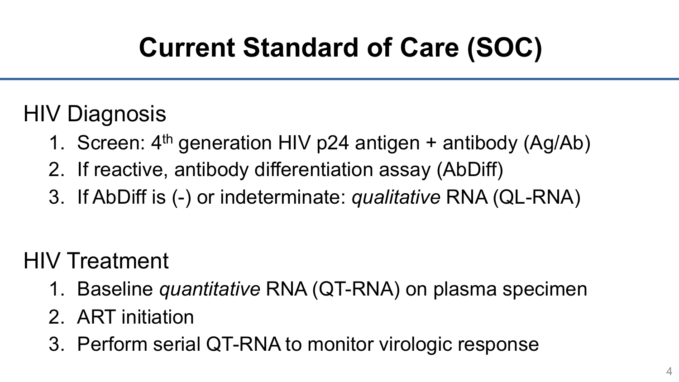## **Current Standard of Care (SOC)**

#### HIV Diagnosis

- 1. Screen:  $4<sup>th</sup>$  generation HIV p24 antigen + antibody (Ag/Ab)
- 2. If reactive, antibody differentiation assay (AbDiff)
- 3. If AbDiff is (-) or indeterminate: *qualitative* RNA (QL-RNA)

### HIV Treatment

- 1. Baseline *quantitative* RNA (QT-RNA) on plasma specimen
- 2. ART initiation
- 3. Perform serial QT-RNA to monitor virologic response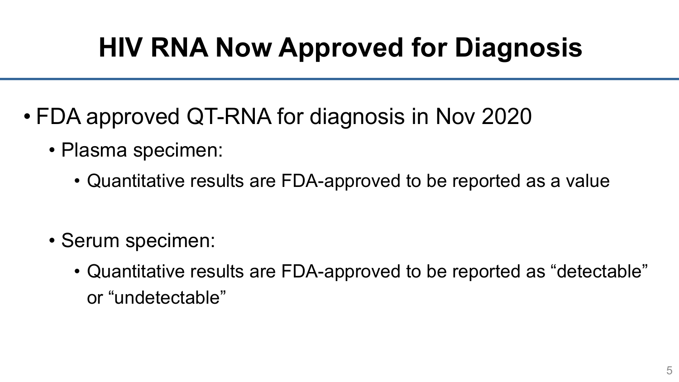## **HIV RNA Now Approved for Diagnosis**

- FDA approved QT-RNA for diagnosis in Nov 2020
	- Plasma specimen:
		- Quantitative results are FDA-approved to be reported as a value

- Serum specimen:
	- Quantitative results are FDA-approved to be reported as "detectable" or "undetectable"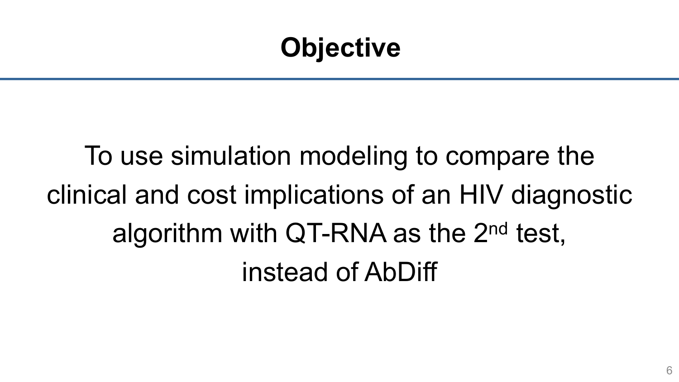## **Objective**

To use simulation modeling to compare the clinical and cost implications of an HIV diagnostic algorithm with QT-RNA as the 2nd test, instead of AbDiff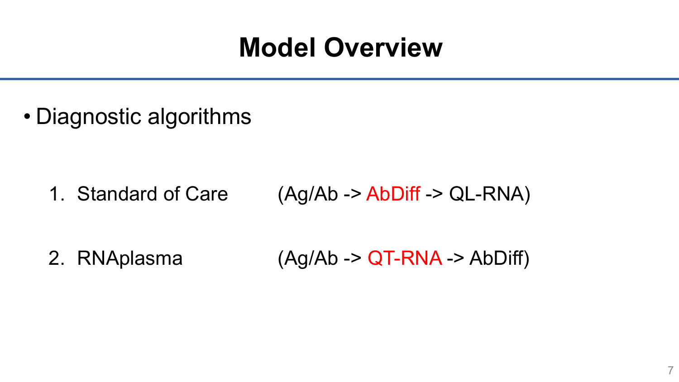### **Model Overview**

• Diagnostic algorithms

1. Standard of Care (Ag/Ab -> AbDiff -> QL-RNA)

2. RNAplasma (Ag/Ab -> QT-RNA -> AbDiff)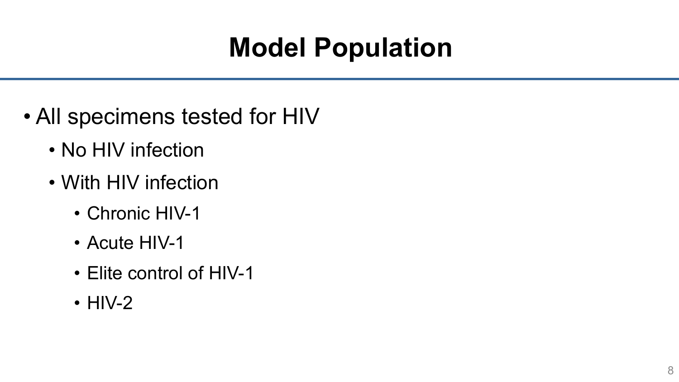## **Model Population**

- All specimens tested for HIV
	- No HIV infection
	- With HIV infection
		- Chronic HIV-1
		- Acute HIV-1
		- Elite control of HIV-1
		- HIV-2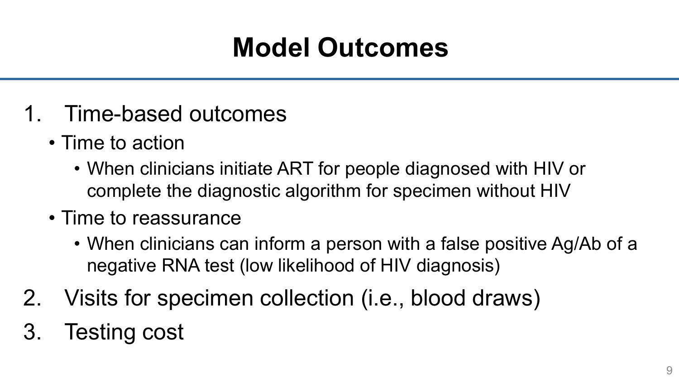## **Model Outcomes**

- 1. Time-based outcomes
	- Time to action
		- When clinicians initiate ART for people diagnosed with HIV or complete the diagnostic algorithm for specimen without HIV
	- Time to reassurance
		- When clinicians can inform a person with a false positive Ag/Ab of a negative RNA test (low likelihood of HIV diagnosis)
- 2. Visits for specimen collection (i.e., blood draws)
- 3. Testing cost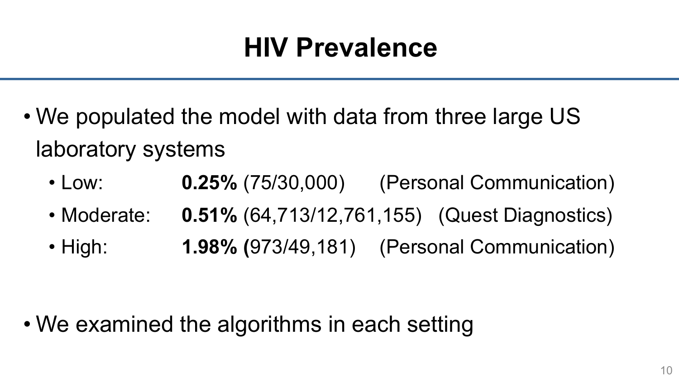## **HIV Prevalence**

- We populated the model with data from three large US laboratory systems
	- Low: **0.25%** (75/30,000) (Personal Communication)
	- Moderate: **0.51%** (64,713/12,761,155) (Quest Diagnostics)
	- High: **1.98% (**973/49,181) (Personal Communication)

• We examined the algorithms in each setting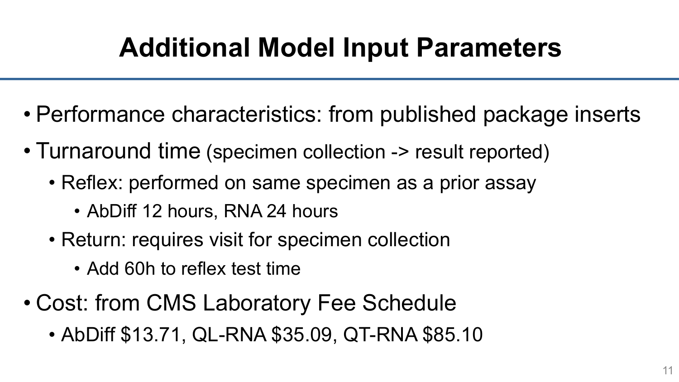## **Additional Model Input Parameters**

- Performance characteristics: from published package inserts
- Turnaround time (specimen collection -> result reported)
	- Reflex: performed on same specimen as a prior assay
		- AbDiff 12 hours, RNA 24 hours
	- Return: requires visit for specimen collection
		- Add 60h to reflex test time
- Cost: from CMS Laboratory Fee Schedule
	- AbDiff \$13.71, QL-RNA \$35.09, QT-RNA \$85.10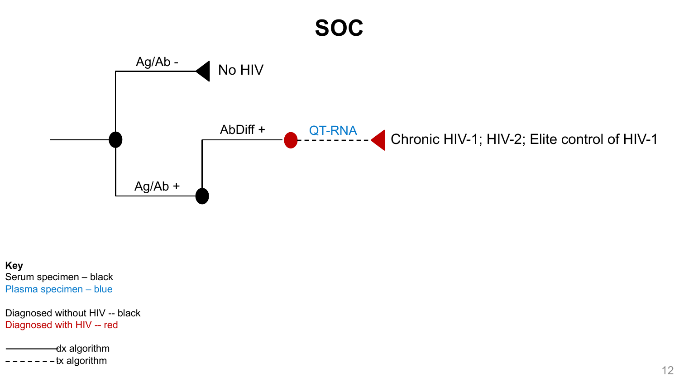#### **SOC**



**Key** Serum specimen – black Plasma specimen – blue

Diagnosed without HIV -- black Diagnosed with HIV -- red

dx algorithm - tx algorithm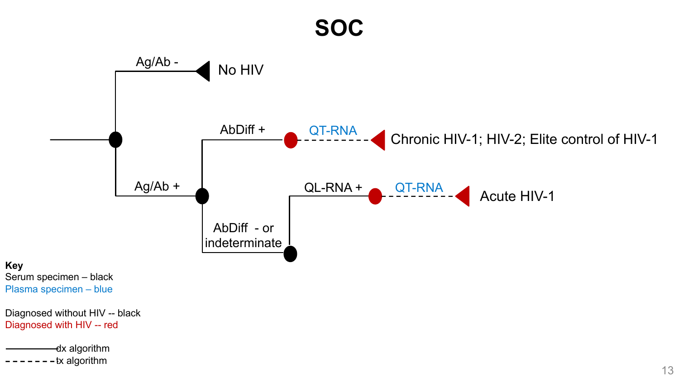#### **SOC**

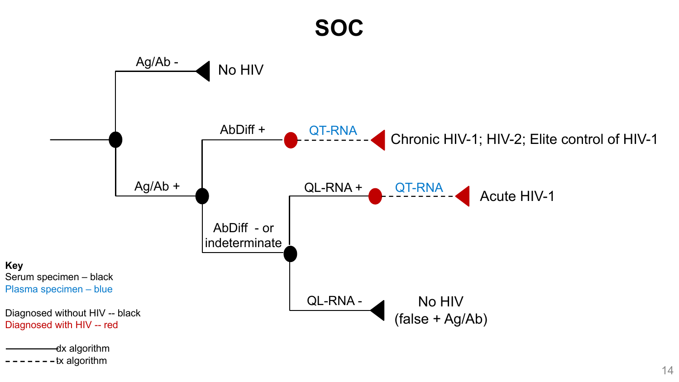#### **SOC**

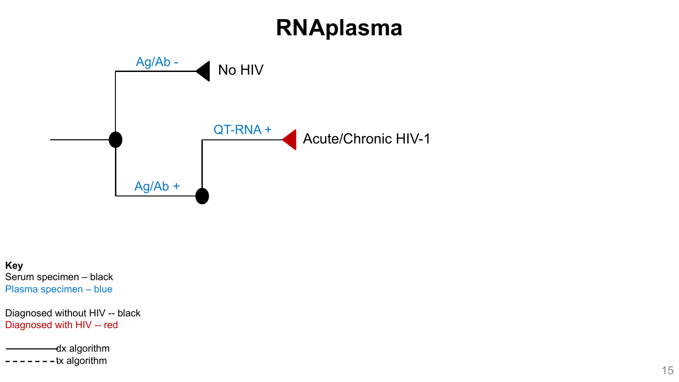### **RNAplasma**



**Key** Serum specimen – black Plasma specimen – blue

Diagnosed without HIV -- black Diagnosed with HIV -- red

dx algorithm  $-tx$  algorithm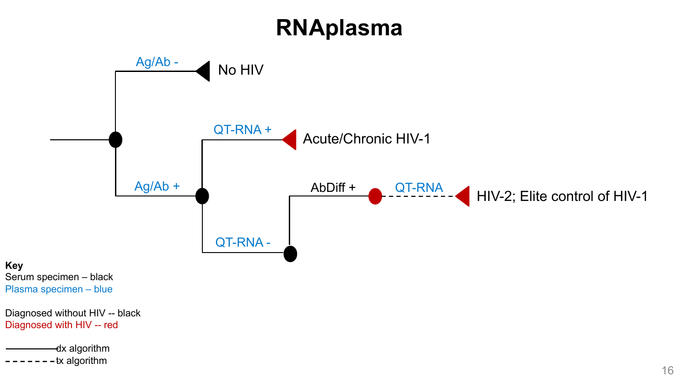### **RNAplasma**

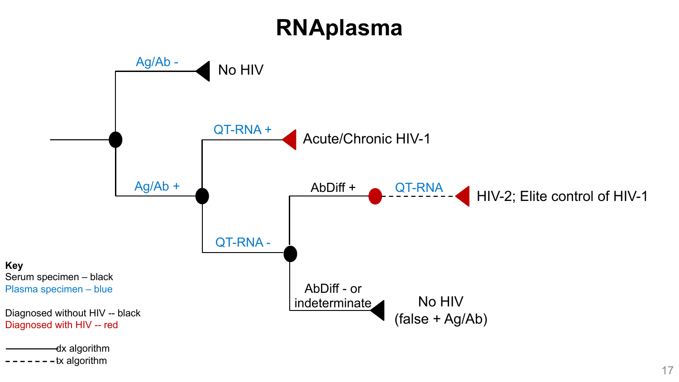### **RNAplasma**

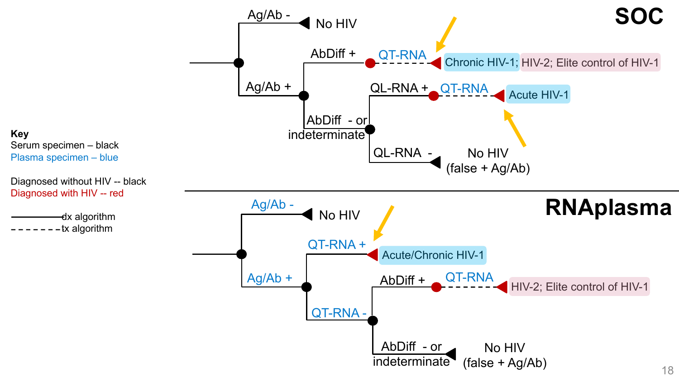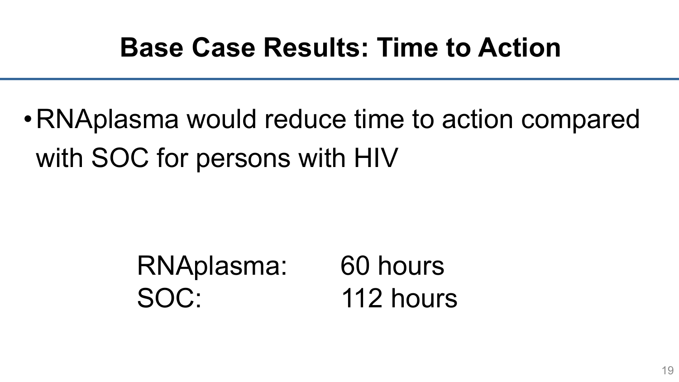### **Base Case Results: Time to Action**

# •RNAplasma would reduce time to action compared with SOC for persons with HIV

### RNAplasma: 60 hours SOC: 112 hours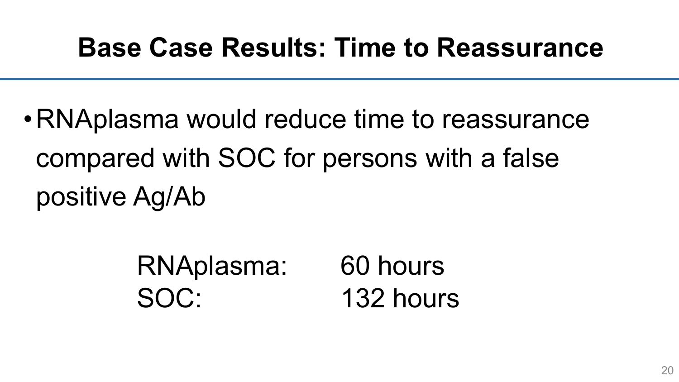### **Base Case Results: Time to Reassurance**

•RNAplasma would reduce time to reassurance compared with SOC for persons with a false positive Ag/Ab

| RNAplasma: | 60 hours  |
|------------|-----------|
| SOC:       | 132 hours |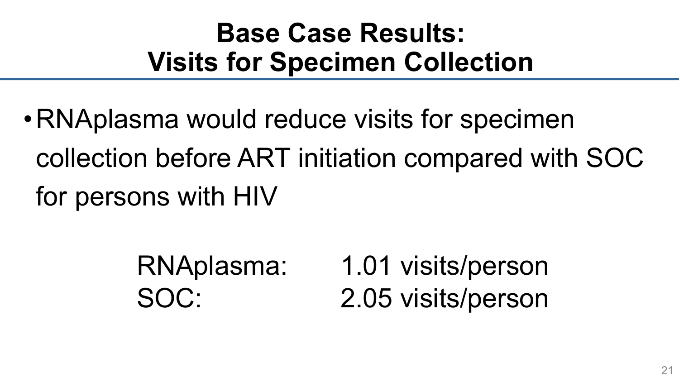## **Base Case Results: Visits for Specimen Collection**

•RNAplasma would reduce visits for specimen collection before ART initiation compared with SOC for persons with HIV

> RNAplasma: 1.01 visits/person SOC: 2.05 visits/person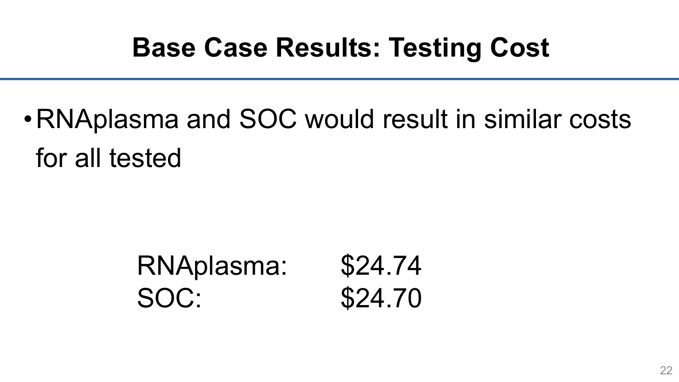### **Base Case Results: Testing Cost**

•RNAplasma and SOC would result in similar costs for all tested

| RNAplasma: | \$24.74 |
|------------|---------|
| SOC:       | \$24.70 |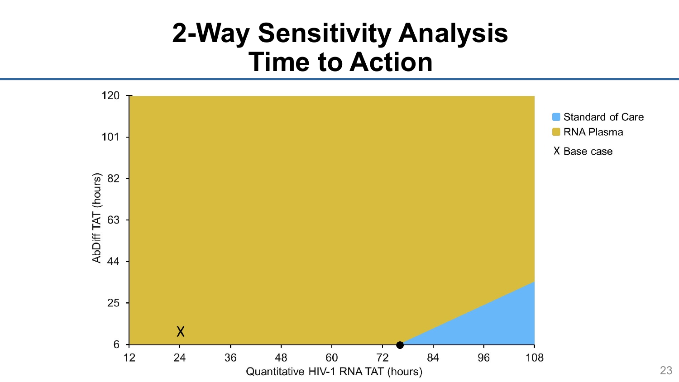### **2-Way Sensitivity Analysis Time to Action**

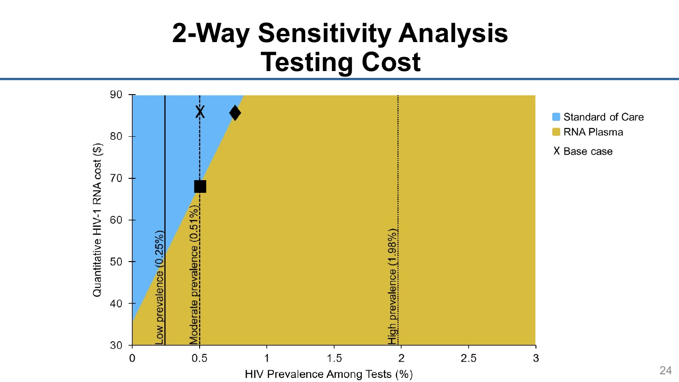### **2-Way Sensitivity Analysis Testing Cost**



Standard of Care RNA Plasma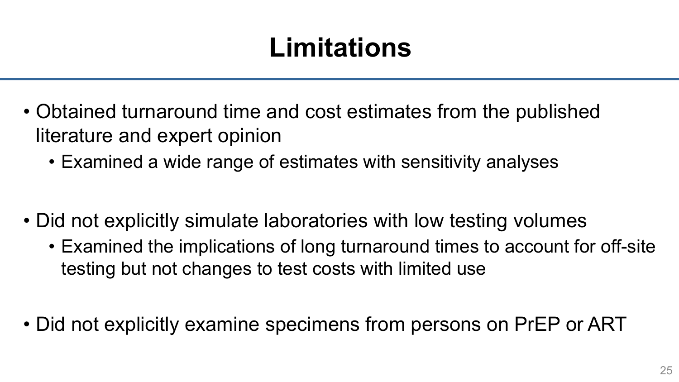## **Limitations**

- Obtained turnaround time and cost estimates from the published literature and expert opinion
	- Examined a wide range of estimates with sensitivity analyses
- Did not explicitly simulate laboratories with low testing volumes
	- Examined the implications of long turnaround times to account for off-site testing but not changes to test costs with limited use
- Did not explicitly examine specimens from persons on PrEP or ART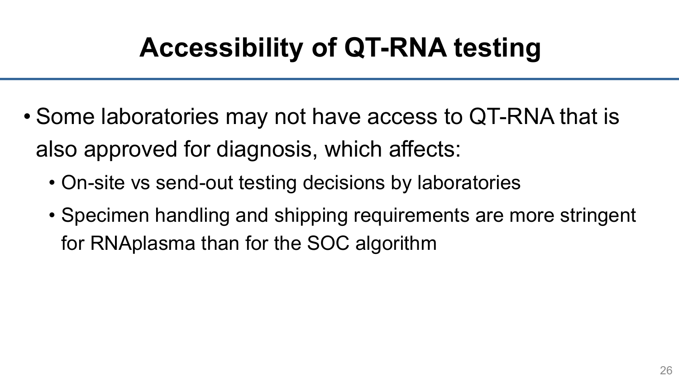# **Accessibility of QT-RNA testing**

- Some laboratories may not have access to QT-RNA that is also approved for diagnosis, which affects:
	- On-site vs send-out testing decisions by laboratories
	- Specimen handling and shipping requirements are more stringent for RNAplasma than for the SOC algorithm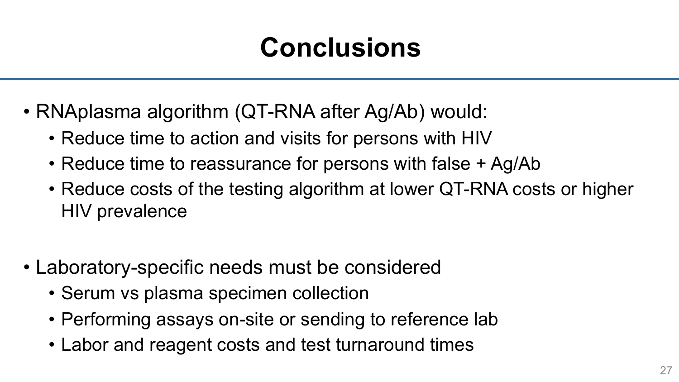## **Conclusions**

- RNAplasma algorithm (QT-RNA after Ag/Ab) would:
	- Reduce time to action and visits for persons with HIV
	- Reduce time to reassurance for persons with false + Ag/Ab
	- Reduce costs of the testing algorithm at lower QT-RNA costs or higher HIV prevalence
- Laboratory-specific needs must be considered
	- Serum vs plasma specimen collection
	- Performing assays on-site or sending to reference lab
	- Labor and reagent costs and test turnaround times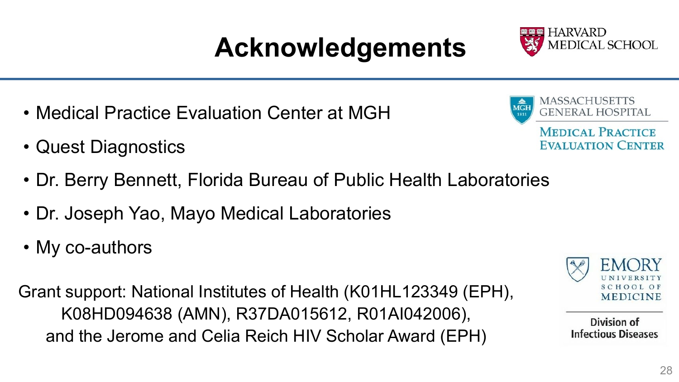# **Acknowledgements**

- Medical Practice Evaluation Center at MGH
- Quest Diagnostics
- Dr. Berry Bennett, Florida Bureau of Public Health Laboratories
- Dr. Joseph Yao, Mayo Medical Laboratories
- My co-authors

Grant support: National Institutes of Health (K01HL123349 (EPH), K08HD094638 (AMN), R37DA015612, R01AI042006), and the Jerome and Celia Reich HIV Scholar Award (EPH)



MASSACHUSETTS

GENERAL HOSPITAL

**MEDICAL PRACTICE EVALUATION CENTER** 

**MGH** 

1811



Division of **Infectious Diseases**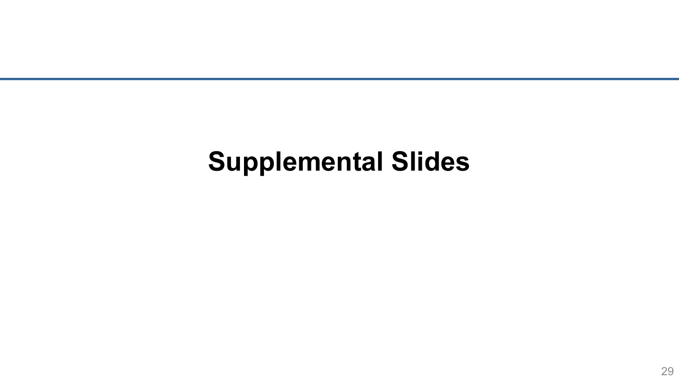### **Supplemental Slides**